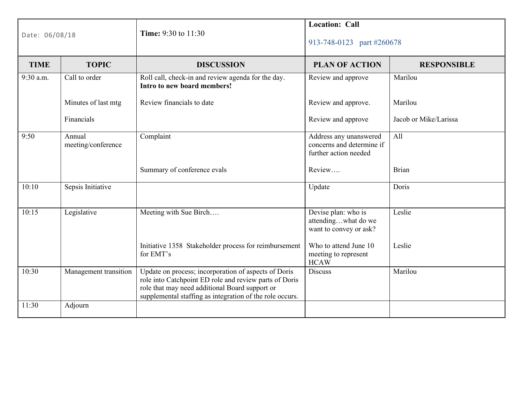| Date: 06/08/18 |                              | <b>Location: Call</b><br>Time: 9:30 to 11:30<br>913-748-0123 part #260678                                                                                                                                                    |                                                                              |                       |
|----------------|------------------------------|------------------------------------------------------------------------------------------------------------------------------------------------------------------------------------------------------------------------------|------------------------------------------------------------------------------|-----------------------|
| <b>TIME</b>    | <b>TOPIC</b>                 | <b>DISCUSSION</b>                                                                                                                                                                                                            | <b>PLAN OF ACTION</b>                                                        | <b>RESPONSIBLE</b>    |
| 9:30 a.m.      | Call to order                | Roll call, check-in and review agenda for the day.<br>Intro to new board members!                                                                                                                                            | Review and approve                                                           | Marilou               |
|                | Minutes of last mtg          | Review financials to date                                                                                                                                                                                                    | Review and approve.                                                          | Marilou               |
|                | Financials                   |                                                                                                                                                                                                                              | Review and approve                                                           | Jacob or Mike/Larissa |
| 9:50           | Annual<br>meeting/conference | Complaint                                                                                                                                                                                                                    | Address any unanswered<br>concerns and determine if<br>further action needed | All                   |
|                |                              | Summary of conference evals                                                                                                                                                                                                  | Review                                                                       | <b>Brian</b>          |
| 10:10          | Sepsis Initiative            |                                                                                                                                                                                                                              | Update                                                                       | Doris                 |
| 10:15          | Legislative                  | Meeting with Sue Birch                                                                                                                                                                                                       | Devise plan: who is<br>attendingwhat do we<br>want to convey or ask?         | Leslie                |
|                |                              | Initiative 1358 Stakeholder process for reimbursement<br>for EMT's                                                                                                                                                           | Who to attend June 10<br>meeting to represent<br><b>HCAW</b>                 | Leslie                |
| 10:30          | Management transition        | Update on process; incorporation of aspects of Doris<br>role into Catchpoint ED role and review parts of Doris<br>role that may need additional Board support or<br>supplemental staffing as integration of the role occurs. | <b>Discuss</b>                                                               | Marilou               |
| 11:30          | Adjourn                      |                                                                                                                                                                                                                              |                                                                              |                       |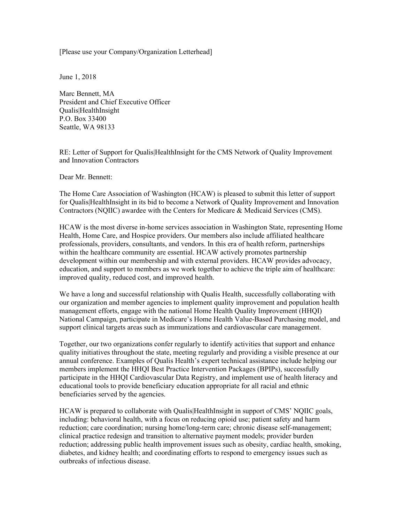[Please use your Company/Organization Letterhead]

June 1, 2018

Marc Bennett, MA President and Chief Executive Officer Qualis|HealthInsight P.O. Box 33400 Seattle, WA 98133

RE: Letter of Support for Qualis|HealthInsight for the CMS Network of Quality Improvement and Innovation Contractors

Dear Mr. Bennett:

The Home Care Association of Washington (HCAW) is pleased to submit this letter of support for Qualis|HealthInsight in its bid to become a Network of Quality Improvement and Innovation Contractors (NQIIC) awardee with the Centers for Medicare & Medicaid Services (CMS).

HCAW is the most diverse in-home services association in Washington State, representing Home Health, Home Care, and Hospice providers. Our members also include affiliated healthcare professionals, providers, consultants, and vendors. In this era of health reform, partnerships within the healthcare community are essential. HCAW actively promotes partnership development within our membership and with external providers. HCAW provides advocacy, education, and support to members as we work together to achieve the triple aim of healthcare: improved quality, reduced cost, and improved health.

We have a long and successful relationship with Qualis Health, successfully collaborating with our organization and member agencies to implement quality improvement and population health management efforts, engage with the national Home Health Quality Improvement (HHQI) National Campaign, participate in Medicare's Home Health Value-Based Purchasing model, and support clinical targets areas such as immunizations and cardiovascular care management.

Together, our two organizations confer regularly to identify activities that support and enhance quality initiatives throughout the state, meeting regularly and providing a visible presence at our annual conference. Examples of Qualis Health's expert technical assistance include helping our members implement the HHQI Best Practice Intervention Packages (BPIPs), successfully participate in the HHQI Cardiovascular Data Registry, and implement use of health literacy and educational tools to provide beneficiary education appropriate for all racial and ethnic beneficiaries served by the agencies.

HCAW is prepared to collaborate with Qualis|HealthInsight in support of CMS' NQIIC goals, including: behavioral health, with a focus on reducing opioid use; patient safety and harm reduction; care coordination; nursing home/long-term care; chronic disease self-management; clinical practice redesign and transition to alternative payment models; provider burden reduction; addressing public health improvement issues such as obesity, cardiac health, smoking, diabetes, and kidney health; and coordinating efforts to respond to emergency issues such as outbreaks of infectious disease.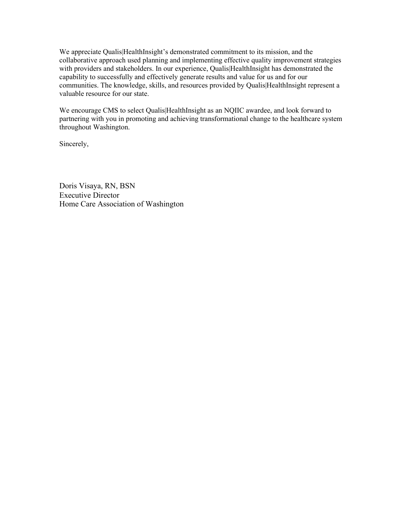We appreciate Qualis|HealthInsight's demonstrated commitment to its mission, and the collaborative approach used planning and implementing effective quality improvement strategies with providers and stakeholders. In our experience, Qualis|HealthInsight has demonstrated the capability to successfully and effectively generate results and value for us and for our communities. The knowledge, skills, and resources provided by Qualis|HealthInsight represent a valuable resource for our state.

We encourage CMS to select Qualis|HealthInsight as an NQIIC awardee, and look forward to partnering with you in promoting and achieving transformational change to the healthcare system throughout Washington.

Sincerely,

Doris Visaya, RN, BSN Executive Director Home Care Association of Washington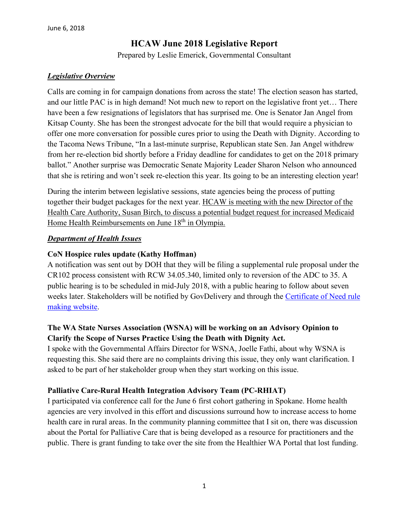## **HCAW June 2018 Legislative Report**

Prepared by Leslie Emerick, Governmental Consultant

### *Legislative Overview*

Calls are coming in for campaign donations from across the state! The election season has started, and our little PAC is in high demand! Not much new to report on the legislative front yet… There have been a few resignations of legislators that has surprised me. One is Senator Jan Angel from Kitsap County. She has been the strongest advocate for the bill that would require a physician to offer one more conversation for possible cures prior to using the Death with Dignity. According to the Tacoma News Tribune, "In a last-minute surprise, Republican state Sen. Jan Angel withdrew from her re-election bid shortly before a Friday deadline for candidates to get on the 2018 primary ballot." Another surprise was Democratic Senate Majority Leader Sharon Nelson who announced that she is retiring and won't seek re-election this year. Its going to be an interesting election year!

During the interim between legislative sessions, state agencies being the process of putting together their budget packages for the next year. HCAW is meeting with the new Director of the Health Care Authority, Susan Birch, to discuss a potential budget request for increased Medicaid Home Health Reimbursements on June  $18<sup>th</sup>$  in Olympia.

### *Department of Health Issues*

### **CoN Hospice rules update (Kathy Hoffman)**

A notification was sent out by DOH that they will be filing a supplemental rule proposal under the CR102 process consistent with RCW 34.05.340, limited only to reversion of the ADC to 35. A public hearing is to be scheduled in mid-July 2018, with a public hearing to follow about seven weeks later. Stakeholders will be notified by GovDelivery and through the [Certificate of Need rule](https://www.doh.wa.gov/LicensesPermitsandCertificates/FacilitiesNewReneworUpdate/CertificateofNeed/RulemakingActivities/Hospice)  [making website.](https://www.doh.wa.gov/LicensesPermitsandCertificates/FacilitiesNewReneworUpdate/CertificateofNeed/RulemakingActivities/Hospice)

## **The WA State Nurses Association (WSNA) will be working on an Advisory Opinion to Clarify the Scope of Nurses Practice Using the Death with Dignity Act.**

I spoke with the Governmental Affairs Director for WSNA, Joelle Fathi, about why WSNA is requesting this. She said there are no complaints driving this issue, they only want clarification. I asked to be part of her stakeholder group when they start working on this issue.

## **Palliative Care-Rural Health Integration Advisory Team (PC-RHIAT)**

I participated via conference call for the June 6 first cohort gathering in Spokane. Home health agencies are very involved in this effort and discussions surround how to increase access to home health care in rural areas. In the community planning committee that I sit on, there was discussion about the Portal for Palliative Care that is being developed as a resource for practitioners and the public. There is grant funding to take over the site from the Healthier WA Portal that lost funding.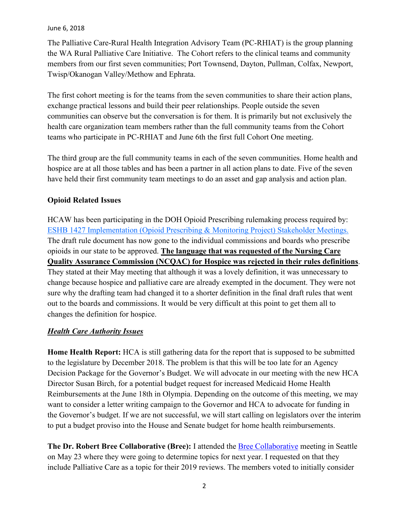The Palliative Care-Rural Health Integration Advisory Team (PC-RHIAT) is the group planning the WA Rural Palliative Care Initiative. The Cohort refers to the clinical teams and community members from our first seven communities; Port Townsend, Dayton, Pullman, Colfax, Newport, Twisp/Okanogan Valley/Methow and Ephrata.

The first cohort meeting is for the teams from the seven communities to share their action plans, exchange practical lessons and build their peer relationships. People outside the seven communities can observe but the conversation is for them. It is primarily but not exclusively the health care organization team members rather than the full community teams from the Cohort teams who participate in PC-RHIAT and June 6th the first full Cohort One meeting.

The third group are the full community teams in each of the seven communities. Home health and hospice are at all those tables and has been a partner in all action plans to date. Five of the seven have held their first community team meetings to do an asset and gap analysis and action plan.

### **Opioid Related Issues**

HCAW has been participating in the DOH Opioid Prescribing rulemaking process required by: [ESHB 1427 Implementation \(Opioid Prescribing & Monitoring Project\) Stakeholder Meetings.](http://links.govdelivery.com/track?type=click&enid=ZWFzPTEmbXNpZD0mYXVpZD0mbWFpbGluZ2lkPTIwMTgwMjA5Ljg1MDg0NTkxJm1lc3NhZ2VpZD1NREItUFJELUJVTC0yMDE4MDIwOS44NTA4NDU5MSZkYXRhYmFzZWlkPTEwMDEmc2VyaWFsPTE3MDU2NjEyJmVtYWlsaWQ9bGVzZW1lcmlja0Bjb21jYXN0Lm5ldCZ1c2VyaWQ9bGVzZW1lcmlja0Bjb21jYXN0Lm5ldCZ0YXJnZXRpZD0mZmw9JmV4dHJhPU11bHRpdmFyaWF0ZUlkPSYmJg==&&&134&&&https://www.doh.wa.gov/ForPublicHealthandHealthcareProviders/HealthcareProfessionsandFacilities/OpioidPrescribing/ESHB1427Implementation) The draft rule document has now gone to the individual commissions and boards who prescribe opioids in our state to be approved. **The language that was requested of the Nursing Care Quality Assurance Commission (NCQAC) for Hospice was rejected in their rules definitions**. They stated at their May meeting that although it was a lovely definition, it was unnecessary to change because hospice and palliative care are already exempted in the document. They were not sure why the drafting team had changed it to a shorter definition in the final draft rules that went out to the boards and commissions. It would be very difficult at this point to get them all to changes the definition for hospice.

### *Health Care Authority Issues*

**Home Health Report:** HCA is still gathering data for the report that is supposed to be submitted to the legislature by December 2018. The problem is that this will be too late for an Agency Decision Package for the Governor's Budget. We will advocate in our meeting with the new HCA Director Susan Birch, for a potential budget request for increased Medicaid Home Health Reimbursements at the June 18th in Olympia. Depending on the outcome of this meeting, we may want to consider a letter writing campaign to the Governor and HCA to advocate for funding in the Governor's budget. If we are not successful, we will start calling on legislators over the interim to put a budget proviso into the House and Senate budget for home health reimbursements.

**The Dr. Robert Bree Collaborative (Bree):** I attended the [Bree Collaborative](http://www.breecollaborative.org/) meeting in Seattle on May 23 where they were going to determine topics for next year. I requested on that they include Palliative Care as a topic for their 2019 reviews. The members voted to initially consider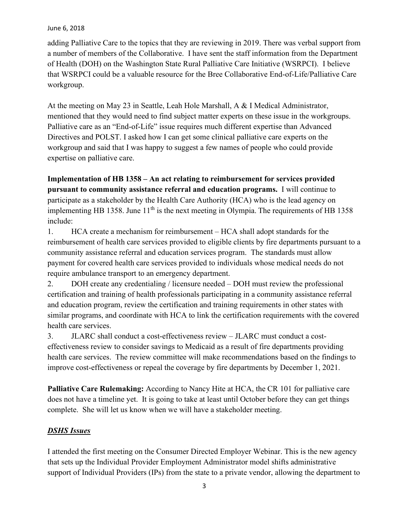adding Palliative Care to the topics that they are reviewing in 2019. There was verbal support from a number of members of the Collaborative. I have sent the staff information from the Department of Health (DOH) on the Washington State Rural Palliative Care Initiative (WSRPCI). I believe that WSRPCI could be a valuable resource for the Bree Collaborative End-of-Life/Palliative Care workgroup.

At the meeting on May 23 in Seattle, Leah Hole Marshall, A & I Medical Administrator, mentioned that they would need to find subject matter experts on these issue in the workgroups. Palliative care as an "End-of-Life" issue requires much different expertise than Advanced Directives and POLST. I asked how I can get some clinical palliative care experts on the workgroup and said that I was happy to suggest a few names of people who could provide expertise on palliative care.

**Implementation of HB 1358 – An act relating to reimbursement for services provided pursuant to community assistance referral and education programs.** I will continue to participate as a stakeholder by the Health Care Authority (HCA) who is the lead agency on implementing HB 1358. June  $11<sup>th</sup>$  is the next meeting in Olympia. The requirements of HB 1358 include:

1. HCA create a mechanism for reimbursement – HCA shall adopt standards for the reimbursement of health care services provided to eligible clients by fire departments pursuant to a community assistance referral and education services program. The standards must allow payment for covered health care services provided to individuals whose medical needs do not require ambulance transport to an emergency department.

2. DOH create any credentialing / licensure needed – DOH must review the professional certification and training of health professionals participating in a community assistance referral and education program, review the certification and training requirements in other states with similar programs, and coordinate with HCA to link the certification requirements with the covered health care services.

3. JLARC shall conduct a cost-effectiveness review – JLARC must conduct a costeffectiveness review to consider savings to Medicaid as a result of fire departments providing health care services. The review committee will make recommendations based on the findings to improve cost-effectiveness or repeal the coverage by fire departments by December 1, 2021.

**Palliative Care Rulemaking:** According to Nancy Hite at HCA, the CR 101 for palliative care does not have a timeline yet. It is going to take at least until October before they can get things complete. She will let us know when we will have a stakeholder meeting.

### *DSHS Issues*

I attended the first meeting on the Consumer Directed Employer Webinar. This is the new agency that sets up the Individual Provider Employment Administrator model shifts administrative support of Individual Providers (IPs) from the state to a private vendor, allowing the department to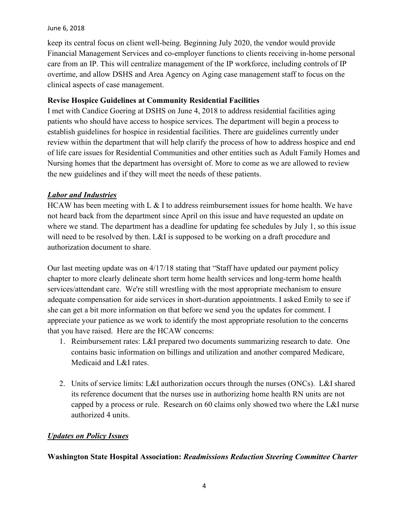keep its central focus on client well-being. Beginning July 2020, the vendor would provide Financial Management Services and co-employer functions to clients receiving in-home personal care from an IP. This will centralize management of the IP workforce, including controls of IP overtime, and allow DSHS and Area Agency on Aging case management staff to focus on the clinical aspects of case management.

### **Revise Hospice Guidelines at Community Residential Facilities**

I met with Candice Goering at DSHS on June 4, 2018 to address residential facilities aging patients who should have access to hospice services. The department will begin a process to establish guidelines for hospice in residential facilities. There are guidelines currently under review within the department that will help clarify the process of how to address hospice and end of life care issues for Residential Communities and other entities such as Adult Family Homes and Nursing homes that the department has oversight of. More to come as we are allowed to review the new guidelines and if they will meet the needs of these patients.

### *Labor and Industries*

HCAW has been meeting with L  $\&$  I to address reimbursement issues for home health. We have not heard back from the department since April on this issue and have requested an update on where we stand. The department has a deadline for updating fee schedules by July 1, so this issue will need to be resolved by then. L&I is supposed to be working on a draft procedure and authorization document to share.

Our last meeting update was on 4/17/18 stating that "Staff have updated our payment policy chapter to more clearly delineate short term home health services and long-term home health services/attendant care. We're still wrestling with the most appropriate mechanism to ensure adequate compensation for aide services in short-duration appointments. I asked Emily to see if she can get a bit more information on that before we send you the updates for comment. I appreciate your patience as we work to identify the most appropriate resolution to the concerns that you have raised. Here are the HCAW concerns:

- 1. Reimbursement rates: L&I prepared two documents summarizing research to date. One contains basic information on billings and utilization and another compared Medicare, Medicaid and L&I rates.
- 2. Units of service limits: L&I authorization occurs through the nurses (ONCs). L&I shared its reference document that the nurses use in authorizing home health RN units are not capped by a process or rule. Research on 60 claims only showed two where the L&I nurse authorized 4 units.

### *Updates on Policy Issues*

**Washington State Hospital Association:** *Readmissions Reduction Steering Committee Charter*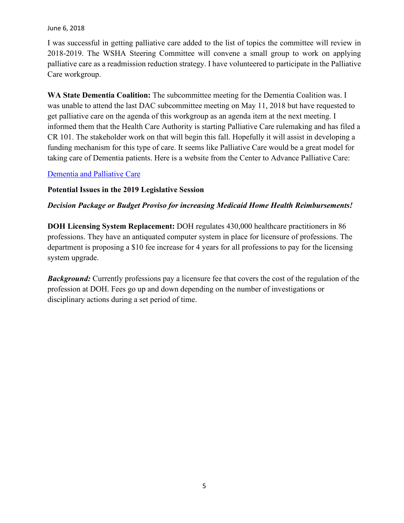I was successful in getting palliative care added to the list of topics the committee will review in 2018-2019. The WSHA Steering Committee will convene a small group to work on applying palliative care as a readmission reduction strategy. I have volunteered to participate in the Palliative Care workgroup.

**WA State Dementia Coalition:** The subcommittee meeting for the Dementia Coalition was. I was unable to attend the last DAC subcommittee meeting on May 11, 2018 but have requested to get palliative care on the agenda of this workgroup as an agenda item at the next meeting. I informed them that the Health Care Authority is starting Palliative Care rulemaking and has filed a CR 101. The stakeholder work on that will begin this fall. Hopefully it will assist in developing a funding mechanism for this type of care. It seems like Palliative Care would be a great model for taking care of Dementia patients. Here is a website from the Center to Advance Palliative Care:

### [Dementia and Palliative Care](https://getpalliativecare.org/whatis/disease-types/dementia-palliative-care/)

### **Potential Issues in the 2019 Legislative Session**

### *Decision Package or Budget Proviso for increasing Medicaid Home Health Reimbursements!*

**DOH Licensing System Replacement:** DOH regulates 430,000 healthcare practitioners in 86 professions. They have an antiquated computer system in place for licensure of professions. The department is proposing a \$10 fee increase for 4 years for all professions to pay for the licensing system upgrade.

*Background:* Currently professions pay a licensure fee that covers the cost of the regulation of the profession at DOH. Fees go up and down depending on the number of investigations or disciplinary actions during a set period of time.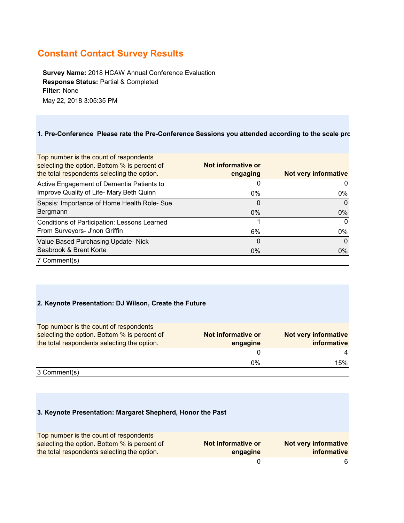# **Constant Contact Survey Results**

**Survey Name:** 2018 HCAW Annual Conference Evaluation **Response Status:** Partial & Completed **Filter:** None May 22, 2018 3:05:35 PM

#### **1. Pre-Conference Please rate the Pre-Conference Sessions you attended according to the scale pro**

| Top number is the count of respondents<br>selecting the option. Bottom % is percent of<br>the total respondents selecting the option. | Not informative or<br>engaging | Not very informative |
|---------------------------------------------------------------------------------------------------------------------------------------|--------------------------------|----------------------|
| Active Engagement of Dementia Patients to                                                                                             | 0                              | 0                    |
| Improve Quality of Life- Mary Beth Quinn                                                                                              | 0%                             | 0%                   |
| Sepsis: Importance of Home Health Role- Sue                                                                                           | 0                              | 0                    |
| Bergmann                                                                                                                              | $0\%$                          | $0\%$                |
| Conditions of Participation: Lessons Learned<br>From Surveyors- J'non Griffin                                                         | 6%                             | $\Omega$<br>$0\%$    |
| Value Based Purchasing Update- Nick                                                                                                   | 0                              | $\Omega$             |
| Seabrook & Brent Korte                                                                                                                | $0\%$                          | $0\%$                |
| 7 Comment(s)                                                                                                                          |                                |                      |

#### **2. Keynote Presentation: DJ Wilson, Create the Future**

| Not informative or<br>engagine | Not very informative<br><i>informative</i> |
|--------------------------------|--------------------------------------------|
|                                | 4                                          |
| 0%                             | 15%                                        |
|                                |                                            |

3 Comment(s)

#### **3. Keynote Presentation: Margaret Shepherd, Honor the Past**

| Top number is the count of respondents<br>selecting the option. Bottom % is percent of | Not informative or | <b>Not very informative</b> |
|----------------------------------------------------------------------------------------|--------------------|-----------------------------|
| the total respondents selecting the option.                                            | engagine           | informative                 |
|                                                                                        |                    | 6                           |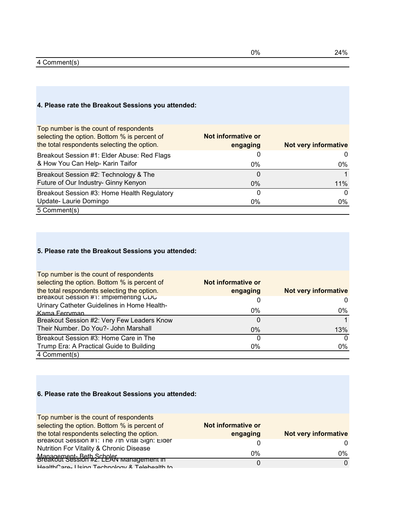### 4 Comment(s)

### **4. Please rate the Breakout Sessions you attended:**

| Top number is the count of respondents<br>selecting the option. Bottom % is percent of<br>the total respondents selecting the option. | Not informative or<br>engaging | Not very informative |
|---------------------------------------------------------------------------------------------------------------------------------------|--------------------------------|----------------------|
| Breakout Session #1: Elder Abuse: Red Flags                                                                                           |                                | 0                    |
| & How You Can Help- Karin Taifor                                                                                                      | $0\%$                          | 0%                   |
| Breakout Session #2: Technology & The                                                                                                 | 0                              |                      |
| Future of Our Industry- Ginny Kenyon                                                                                                  | $0\%$                          | $11\%$               |
| Breakout Session #3: Home Health Regulatory                                                                                           | 0                              | $\Omega$             |
| Update- Laurie Domingo                                                                                                                | 0%                             | 0%                   |
| 5 Comment(s)                                                                                                                          |                                |                      |

### **5. Please rate the Breakout Sessions you attended:**

| Top number is the count of respondents       |                    |                      |
|----------------------------------------------|--------------------|----------------------|
| selecting the option. Bottom % is percent of | Not informative or |                      |
| the total respondents selecting the option.  | engaging           | Not very informative |
| Breakout Session #1: Implementing CDC        |                    | 0                    |
| Urinary Catheter Guidelines in Home Health-  |                    |                      |
| Kama Ferryman                                | $0\%$              | 0%                   |
| Breakout Session #2: Very Few Leaders Know   | 0                  |                      |
| Their Number. Do You?- John Marshall         | $0\%$              | 13%                  |
| Breakout Session #3: Home Care in The        |                    | $\Omega$             |
| Trump Era: A Practical Guide to Building     | 0%                 | $0\%$                |
| 4 Comment(s)                                 |                    |                      |

### **6. Please rate the Breakout Sessions you attended:**

| Top number is the count of respondents         |                    |                      |
|------------------------------------------------|--------------------|----------------------|
| selecting the option. Bottom % is percent of   | Not informative or |                      |
| the total respondents selecting the option.    | engaging           | Not very informative |
| Breakout Session #1: The 7th Vital Sign: Elder |                    | $\Omega$             |
| Nutrition For Vitality & Chronic Disease       |                    |                      |
| Management-Beth Scheler wanagement in          | 0%                 | 0%                   |
| HealthCare, Heing Technology & Telebealth to   |                    | $\Omega$             |
|                                                |                    |                      |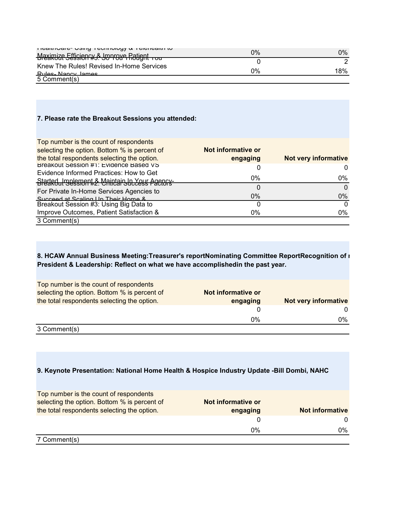| <b>TICAILINAIC- USITY LEMITIOLY &amp; LEIGHEAILLIN</b> | 0% | $0\%$ |
|--------------------------------------------------------|----|-------|
| Mexirvize Stusien w. S. Jorrove Ratignt                |    |       |
| Knew The Rules! Revised In-Home Services               |    |       |
| Rules, Nancy James                                     | 0% | 18%   |
| 5 Comment(s)                                           |    |       |

#### **7. Please rate the Breakout Sessions you attended:**

| Top number is the count of respondents       |                    |                      |
|----------------------------------------------|--------------------|----------------------|
| selecting the option. Bottom % is percent of | Not informative or |                      |
| the total respondents selecting the option.  | engaging           | Not very informative |
| Breakout Session #1: Evidence Based VS       |                    |                      |
| Evidence Informed Practices: How to Get      |                    |                      |
| Staded Jubesport & Maintain Julyess Agency-  | 0%                 | $0\%$                |
| For Private In-Home Services Agencies to     |                    | 0                    |
| Succeed at Scaling Lin Their Home &          | $0\%$              | $0\%$                |
| Breakout Session #3: Using Big Data to       |                    | 0                    |
| Improve Outcomes, Patient Satisfaction &     | 0%                 | 0%                   |
| 3 Comment(s)                                 |                    |                      |

### **8. HCAW Annual Business Meeting:Treasurer's reportNominating Committee ReportRecognition of n President & Leadership: Reflect on what we have accomplishedin the past year.**

| Top number is the count of respondents<br>selecting the option. Bottom % is percent of | Not informative or |                      |
|----------------------------------------------------------------------------------------|--------------------|----------------------|
| the total respondents selecting the option.                                            | engaging           | Not very informative |
|                                                                                        |                    |                      |
|                                                                                        | $0\%$              | 0%                   |
| $\sim$ $\sim$<br>$\cdot$ $\cdot$                                                       |                    |                      |

3 Comment(s)

#### **9. Keynote Presentation: National Home Health & Hospice Industry Update -Bill Dombi, NAHC**

| Top number is the count of respondents<br>selecting the option. Bottom % is percent of | Not informative or |                 |
|----------------------------------------------------------------------------------------|--------------------|-----------------|
| the total respondents selecting the option.                                            | engaging           | Not informative |
|                                                                                        |                    | $\Omega$        |
|                                                                                        | 0%                 | 0%              |
| 7 Comment(s)                                                                           |                    |                 |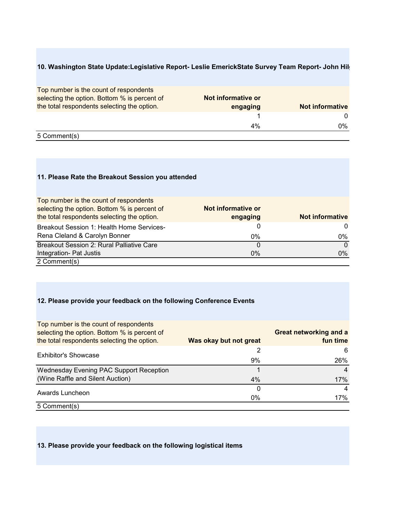### **10. Washington State Update:Legislative Report- Leslie EmerickState Survey Team Report- John Hilg**

| Top number is the count of respondents<br>selecting the option. Bottom % is percent of<br>the total respondents selecting the option. | Not informative or<br>engaging | <b>Not informative</b> |
|---------------------------------------------------------------------------------------------------------------------------------------|--------------------------------|------------------------|
|                                                                                                                                       |                                | $\Omega$               |
|                                                                                                                                       | 4%                             | $0\%$                  |
| 5 Comment(s)                                                                                                                          |                                |                        |

#### **11. Please Rate the Breakout Session you attended**

| Top number is the count of respondents           |                    |                        |
|--------------------------------------------------|--------------------|------------------------|
| selecting the option. Bottom % is percent of     | Not informative or |                        |
| the total respondents selecting the option.      | engaging           | <b>Not informative</b> |
| <b>Breakout Session 1: Health Home Services-</b> |                    | 0                      |
| Rena Cleland & Carolyn Bonner                    | 0%                 | $0\%$                  |
| Breakout Session 2: Rural Palliative Care        |                    | $\Omega$               |
| Integration- Pat Justis                          | $0\%$              | $0\%$                  |
| 2 Comment(s)                                     |                    |                        |

### **12. Please provide your feedback on the following Conference Events**

| Top number is the count of respondents<br>selecting the option. Bottom % is percent of<br>the total respondents selecting the option. | Was okay but not great | <b>Great networking and a</b><br>fun time |
|---------------------------------------------------------------------------------------------------------------------------------------|------------------------|-------------------------------------------|
| <b>Exhibitor's Showcase</b>                                                                                                           |                        | 6                                         |
|                                                                                                                                       | 9%                     | 26%                                       |
| Wednesday Evening PAC Support Reception                                                                                               |                        |                                           |
| (Wine Raffle and Silent Auction)                                                                                                      | 4%                     | 17%                                       |
| Awards Luncheon                                                                                                                       |                        | 4                                         |
|                                                                                                                                       | 0%                     | 17%                                       |
| 5 Comment(s)                                                                                                                          |                        |                                           |

#### **13. Please provide your feedback on the following logistical items**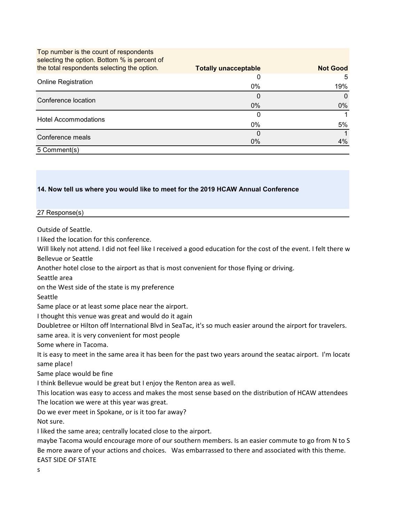| Top number is the count of respondents       |                             |                 |
|----------------------------------------------|-----------------------------|-----------------|
| selecting the option. Bottom % is percent of |                             |                 |
| the total respondents selecting the option.  | <b>Totally unacceptable</b> | <b>Not Good</b> |
|                                              | O                           | 5               |
| <b>Online Registration</b>                   | 0%                          | 19%             |
| Conference location                          | 0                           | $\Omega$        |
|                                              | $0\%$                       | $0\%$           |
| <b>Hotel Accommodations</b>                  |                             |                 |
|                                              | 0%                          | 5%              |
| Conference meals                             | $\left($                    |                 |
|                                              | $0\%$                       | 4%              |
| 5 Comment(s)                                 |                             |                 |

#### **14. Now tell us where you would like to meet for the 2019 HCAW Annual Conference**

#### 27 Response(s)

Outside of Seattle.

I liked the location for this conference.

Will likely not attend. I did not feel like I received a good education for the cost of the event. I felt there w Bellevue or Seattle

Another hotel close to the airport as that is most convenient for those flying or driving.

Seattle area

on the West side of the state is my preference

Seattle

Same place or at least some place near the airport.

I thought this venue was great and would do it again

Doubletree or Hilton off International Blvd in SeaTac, it's so much easier around the airport for travelers.

same area. it is very convenient for most people

Some where in Tacoma.

It is easy to meet in the same area it has been for the past two years around the seatac airport. I'm locate same place!

Same place would be fine

I think Bellevue would be great but I enjoy the Renton area as well.

This location was easy to access and makes the most sense based on the distribution of HCAW attendees The location we were at this year was great.

Do we ever meet in Spokane, or is it too far away?

Not sure.

I liked the same area; centrally located close to the airport.

maybe Tacoma would encourage more of our southern members. Is an easier commute to go from N to S Be more aware of your actions and choices. Was embarrassed to there and associated with this theme. EAST SIDE OF STATE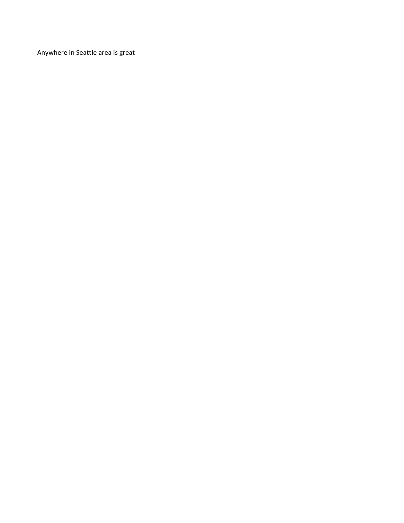Anywhere in Seattle area is great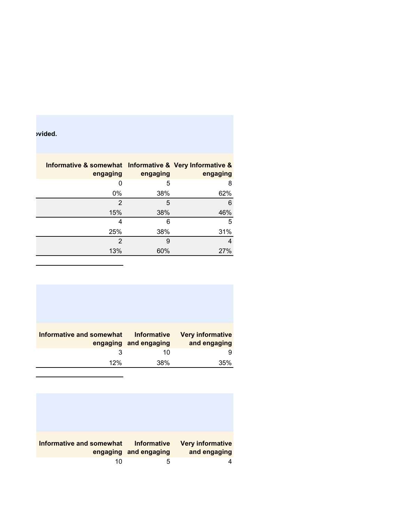**buded.** 

| Informative & somewhat Informative & Very Informative &<br>engaging | engaging | engaging |
|---------------------------------------------------------------------|----------|----------|
| 0                                                                   | 5        | 8        |
| 0%                                                                  | 38%      | 62%      |
| $\mathfrak{p}$                                                      | 5        | 6        |
| 15%                                                                 | 38%      | 46%      |
| 4                                                                   | 6        | 5        |
| 25%                                                                 | 38%      | 31%      |
| 2                                                                   | 9        | 4        |
| 13%                                                                 | 60%      | 27%      |

| Informative and somewhat | <b>Informative</b><br>engaging and engaging | <b>Very informative</b><br>and engaging |
|--------------------------|---------------------------------------------|-----------------------------------------|
| 3                        | 10                                          |                                         |
| 12%                      | 38%                                         | 35%                                     |

| Informative and somewhat | <b>Informative</b>    | <b>Very informative</b> |
|--------------------------|-----------------------|-------------------------|
|                          | engaging and engaging | and engaging            |
| 10                       | 5                     |                         |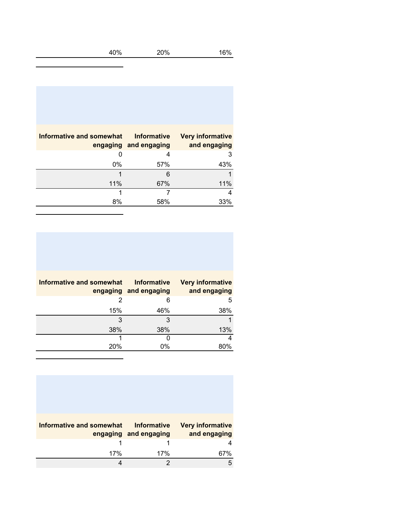| 40% | 20% | 16% |
|-----|-----|-----|
|-----|-----|-----|

| Informative and somewhat | <b>Informative</b><br>engaging and engaging | <b>Very informative</b><br>and engaging |
|--------------------------|---------------------------------------------|-----------------------------------------|
| O                        | 4                                           | 3                                       |
| 0%                       | 57%                                         | 43%                                     |
|                          | 6                                           |                                         |
| 11%                      | 67%                                         | 11%                                     |
|                          |                                             | 4                                       |
| 8%                       | 58%                                         | 33%                                     |

÷,

| Informative and somewhat | <b>Informative</b><br>engaging and engaging | <b>Very informative</b><br>and engaging |
|--------------------------|---------------------------------------------|-----------------------------------------|
| 2                        | 6                                           | 5                                       |
| 15%                      | 46%                                         | 38%                                     |
| 3                        | 3                                           |                                         |
| 38%                      | 38%                                         | 13%                                     |
|                          |                                             | 4                                       |
| 20%                      | 0%                                          | 80%                                     |

| <b>Informative and somewhat</b> | <b>Informative</b><br>engaging and engaging | <b>Very informative</b><br>and engaging |
|---------------------------------|---------------------------------------------|-----------------------------------------|
|                                 |                                             |                                         |
| 17%                             | 17%                                         | 67%                                     |
|                                 |                                             |                                         |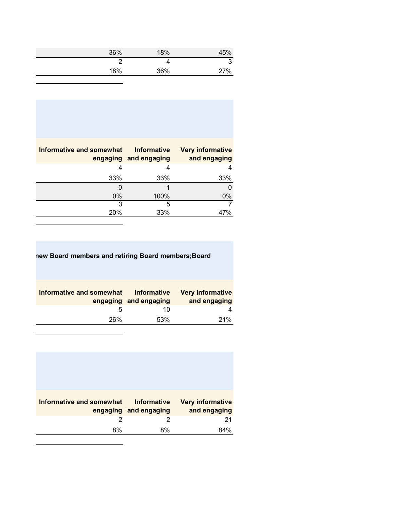| 36% | 18% | 45% |
|-----|-----|-----|
| ◠   |     |     |
| 18% | 36% | 27% |

| <b>Informative and somewhat</b> | <b>Informative</b>    | <b>Very informative</b> |
|---------------------------------|-----------------------|-------------------------|
|                                 | engaging and engaging | and engaging            |
|                                 | 4                     | 4                       |
| 33%                             | 33%                   | 33%                     |
|                                 |                       |                         |
| $0\%$                           | 100%                  | $0\%$                   |
| 3                               | 5                     |                         |
| 20%                             | 33%                   | 47%                     |
|                                 |                       |                         |

| I members and retiring Board members; Board<br>new Board |
|----------------------------------------------------------|
|                                                          |

| Informative and somewhat | <b>Informative</b><br>engaging and engaging | <b>Very informative</b><br>and engaging |
|--------------------------|---------------------------------------------|-----------------------------------------|
|                          | 10                                          |                                         |
| 26%                      | 53%                                         | 21%                                     |

| <b>Informative and somewhat</b> | <b>Informative</b><br>engaging and engaging | <b>Very informative</b><br>and engaging |
|---------------------------------|---------------------------------------------|-----------------------------------------|
| 2                               | 2                                           | 21                                      |
| 8%                              | 8%                                          | 84%                                     |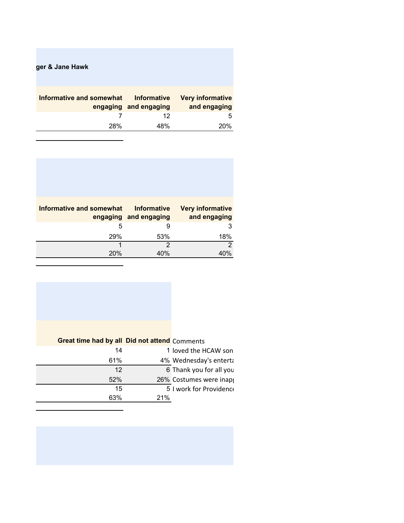|                                         |                                      | ger & Jane Hawk          |
|-----------------------------------------|--------------------------------------|--------------------------|
| <b>Very informative</b><br>and engaging | Informative<br>engaging and engaging | Informative and somewhat |
| 5                                       | 12                                   |                          |
| 20%                                     | 48%                                  | 28%                      |

| Informative and somewhat | <b>Informative</b><br>engaging and engaging | <b>Very informative</b><br>and engaging |
|--------------------------|---------------------------------------------|-----------------------------------------|
| 5                        |                                             |                                         |
| 29%                      | 53%                                         | 18%                                     |
|                          | 2                                           | ာ                                       |
| 20%                      | 4በ%                                         | 40%                                     |

| <b>Great time had by all Did not attend Comments</b> |                         |
|------------------------------------------------------|-------------------------|
| 14                                                   | 1 loved the HCAW son    |
| 61%                                                  | 4% Wednesday's enterta  |
| 12                                                   | 6 Thank you for all you |
| 52%                                                  | 26% Costumes were inap  |
| 15                                                   | 5 I work for Providence |
| 63%                                                  | 21%                     |
|                                                      |                         |

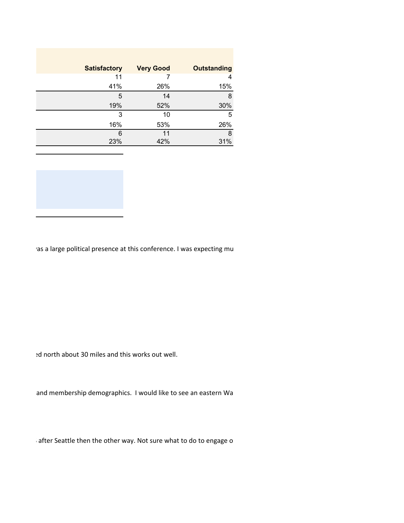| <b>Satisfactory</b> | <b>Very Good</b> | <b>Outstanding</b> |
|---------------------|------------------|--------------------|
| 11                  |                  | 4                  |
| 41%                 | 26%              | 15%                |
| 5                   | 14               | 8                  |
| 19%                 | 52%              | 30%                |
| 3                   | 10               | 5                  |
| 16%                 | 53%              | 26%                |
| 6                   | 11               | 8                  |
| 23%                 | 42%              | 31%                |



ras a large political presence at this conference. I was expecting mu

ed north about 30 miles and this works out well.

and membership demographics. I would like to see an eastern Wa

S after Seattle then the other way. Not sure what to do to engage o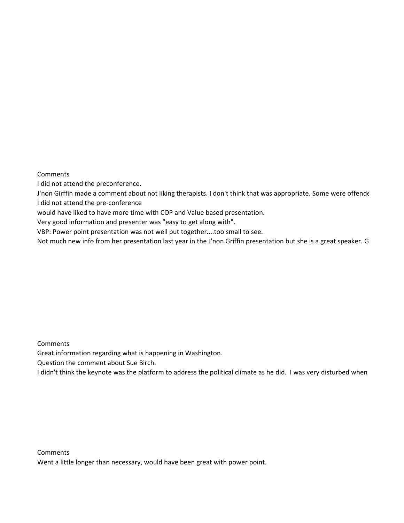**Comments** 

I did not attend the preconference.

J'non Girffin made a comment about not liking therapists. I don't think that was appropriate. Some were offende

I did not attend the pre-conference

would have liked to have more time with COP and Value based presentation.

Very good information and presenter was "easy to get along with".

VBP: Power point presentation was not well put together....too small to see.

Not much new info from her presentation last year in the J'non Griffin presentation but she is a great speaker. G

**Comments** 

Great information regarding what is happening in Washington.

Question the comment about Sue Birch.

I didn't think the keynote was the platform to address the political climate as he did. I was very disturbed when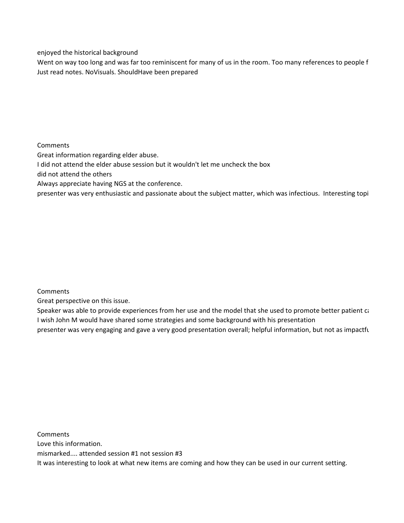enjoyed the historical background

Went on way too long and was far too reminiscent for many of us in the room. Too many references to people f Just read notes. No
Visuals. Should
Have been prepared

Comments

Great information regarding elder abuse.

I did not attend the elder abuse session but it wouldn't let me uncheck the box

did not attend the others

Always appreciate having NGS at the conference.

presenter was very enthusiastic and passionate about the subject matter, which was infectious. Interesting topi

Comments

Great perspective on this issue.

Speaker was able to provide experiences from her use and the model that she used to promote better patient ca I wish John M would have shared some strategies and some background with his presentation presenter was very engaging and gave a very good presentation overall; helpful information, but not as impactfu

**Comments** Love this information. mismarked.... attended session #1 not session #3 It was interesting to look at what new items are coming and how they can be used in our current setting.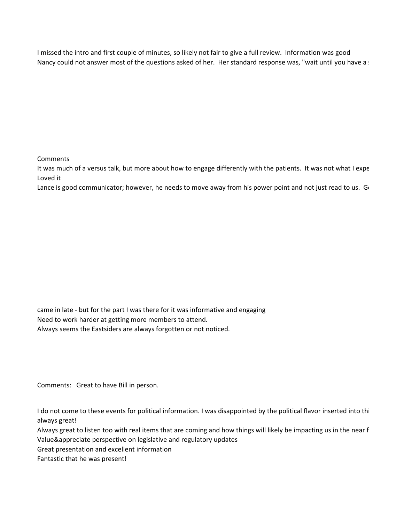I missed the intro and first couple of minutes, so likely not fair to give a full review. Information was good Nancy could not answer most of the questions asked of her. Her standard response was, "wait until you have a s

**Comments** 

It was much of a versus talk, but more about how to engage differently with the patients. It was not what I expe Loved it

Lance is good communicator; however, he needs to move away from his power point and not just read to us. Go

came in late - but for the part I was there for it was informative and engaging Need to work harder at getting more members to attend. Always seems the Eastsiders are always forgotten or not noticed.

Comments: Great to have Bill in person.

I do not come to these events for political information. I was disappointed by the political flavor inserted into thi always great!

Always great to listen too with real items that are coming and how things will likely be impacting us in the near f Value&appreciate perspective on legislative and regulatory updates

Great presentation and excellent information

Fantastic that he was present!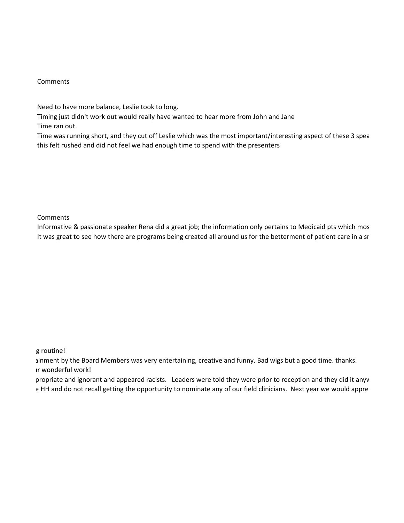#### Comments

Need to have more balance, Leslie took to long.

Timing just didn't work out would really have wanted to hear more from John and Jane

Time ran out.

Time was running short, and they cut off Leslie which was the most important/interesting aspect of these 3 spea this felt rushed and did not feel we had enough time to spend with the presenters

Comments

Informative & passionate speaker Rena did a great job; the information only pertains to Medicaid pts which mos It was great to see how there are programs being created all around us for the betterment of patient care in a sr

g routine!

 ainment by the Board Members was very entertaining, creative and funny. Bad wigs but a good time. thanks. ur wonderful work!

 propriate and ignorant and appeared racists. Leaders were told they were prior to reception and they did it anyw 
 e HH and do not recall getting the opportunity to nominate any of our field clinicians. Next year we would appre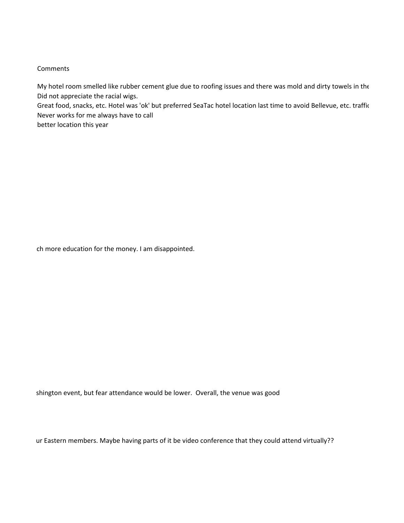#### **Comments**

My hotel room smelled like rubber cement glue due to roofing issues and there was mold and dirty towels in the Did not appreciate the racial wigs.

Great food, snacks, etc. Hotel was 'ok' but preferred SeaTac hotel location last time to avoid Bellevue, etc. traffic Never works for me always have to call

better location this year

ch more education for the money. I am disappointed.

shington event, but fear attendance would be lower. Overall, the venue was good

ur Eastern members. Maybe having parts of it be video conference that they could attend virtually??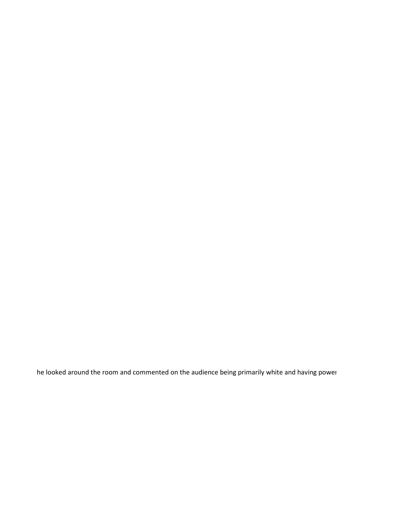he looked around the room and commented on the audience being primarily white and having power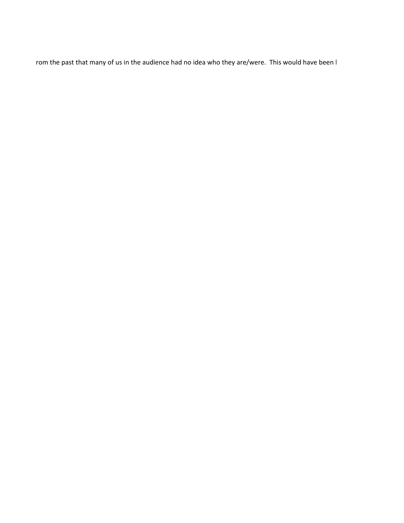rom the past that many of us in the audience had no idea who they are/were. This would have been  $\mathsf{I}$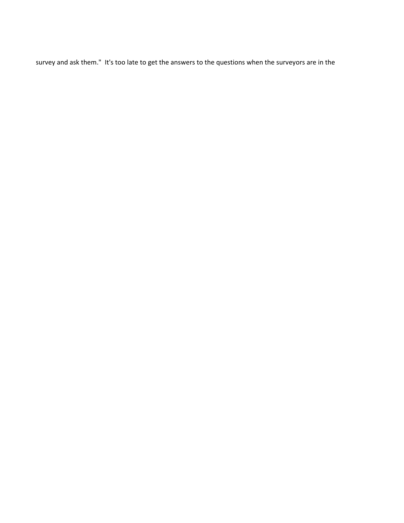survey and ask them." It's too late to get the answers to the questions when the surveyors are in the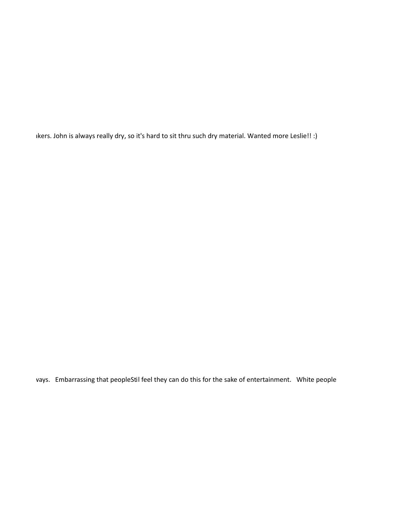akers. John is always really dry, so it's hard to sit thru such dry material. Wanted more Leslie!! :)

ways. Embarrassing that people
Stil feel they can do this for the sake of entertainment. White people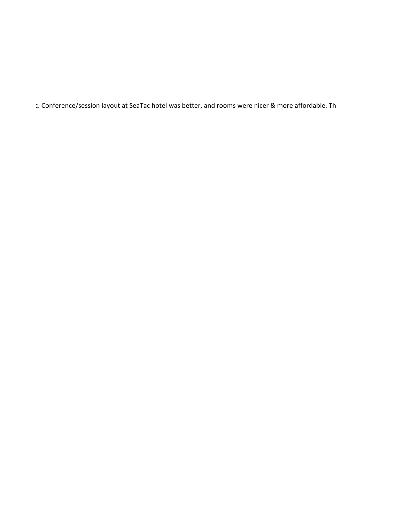c. Conference/session layout at SeaTac hotel was better, and rooms were nicer & more affordable. Th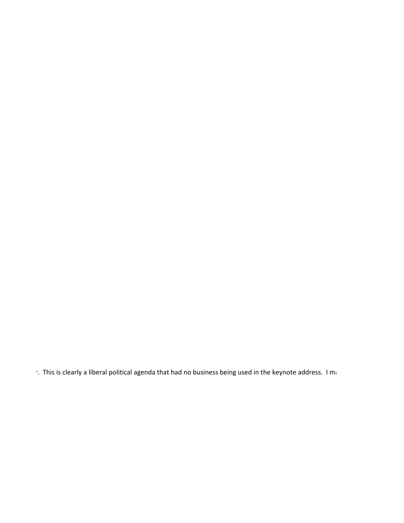r. This is clearly a liberal political agenda that had no business being used in the keynote address. I ma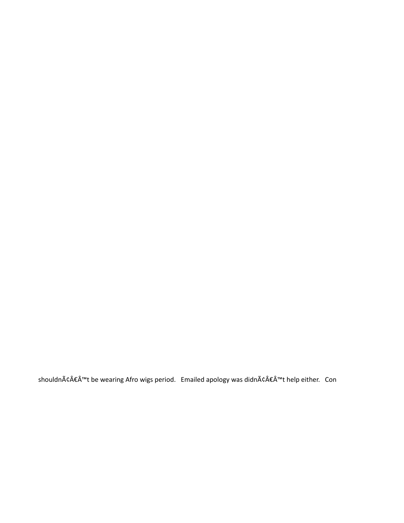shouldnâ€Â™t be wearing Afro wigs period. Emailed apology was didnâ€Â™t help either. Con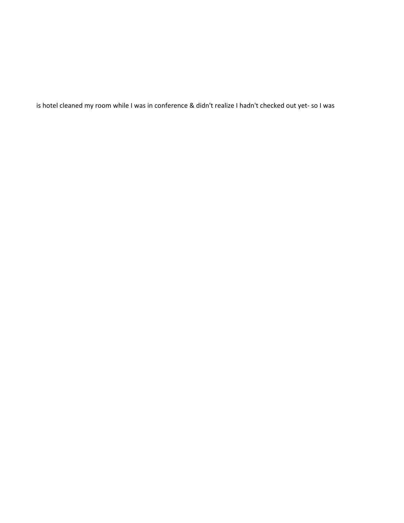is hotel cleaned my room while I was in conference & didn't realize I hadn't checked out yet- so I was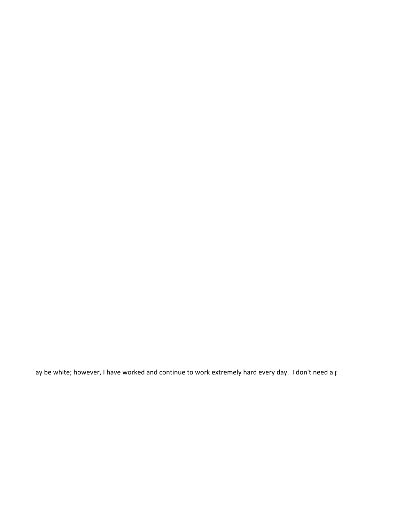ay be white; however, I have worked and continue to work extremely hard every day. I don't need a p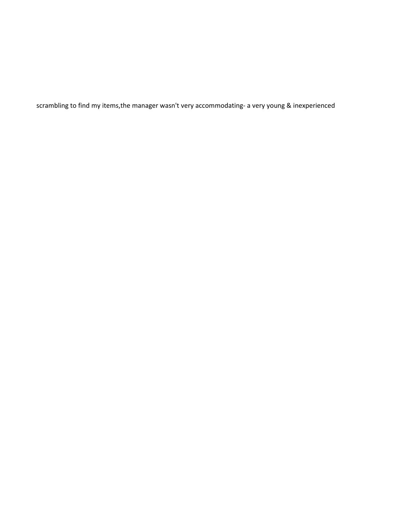scrambling to find my items,the manager wasn't very accommodating- a very young & inexperienced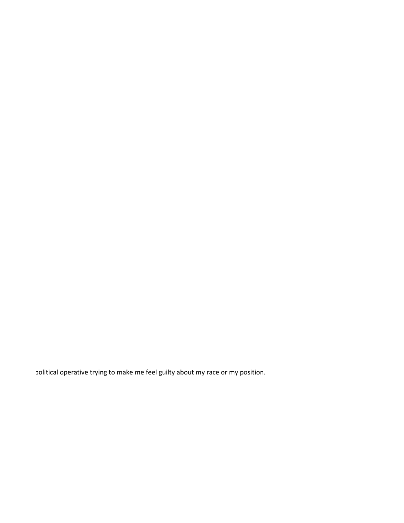political operative trying to make me feel guilty about my race or my position.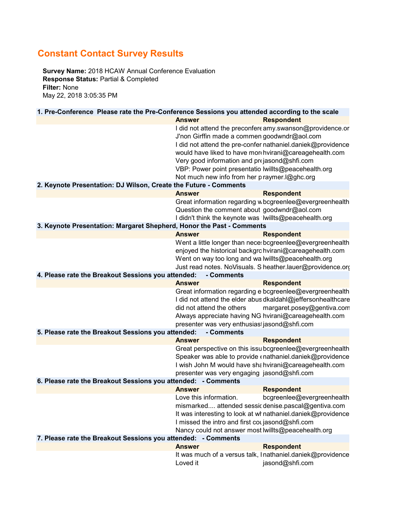# **Constant Contact Survey Results**

**Survey Name:** 2018 HCAW Annual Conference Evaluation **Response Status:** Partial & Completed **Filter:** None May 22, 2018 3:05:35 PM

| 1. Pre-Conference Please rate the Pre-Conference Sessions you attended according to the scale |                           |                                                              |
|-----------------------------------------------------------------------------------------------|---------------------------|--------------------------------------------------------------|
|                                                                                               | <b>Answer</b>             | <b>Respondent</b>                                            |
|                                                                                               |                           | I did not attend the preconfere amy.swanson@providence.or    |
|                                                                                               |                           | J'non Girffin made a commen goodwndr@aol.com                 |
|                                                                                               |                           | I did not attend the pre-confer nathaniel.daniek@providence  |
|                                                                                               |                           | would have liked to have mor hvirani@careagehealth.com       |
|                                                                                               |                           | Very good information and projasond@shfi.com                 |
|                                                                                               |                           | VBP: Power point presentatio lwillts@peacehealth.org         |
|                                                                                               |                           | Not much new info from her p raymer. I@ghc.org               |
| 2. Keynote Presentation: DJ Wilson, Create the Future - Comments                              |                           |                                                              |
|                                                                                               | <b>Answer</b>             | <b>Respondent</b>                                            |
|                                                                                               |                           | Great information regarding w bcgreenlee@evergreenhealth     |
|                                                                                               |                           | Question the comment about goodwndr@aol.com                  |
|                                                                                               |                           | I didn't think the keynote was lwillts@peacehealth.org       |
| 3. Keynote Presentation: Margaret Shepherd, Honor the Past - Comments                         |                           |                                                              |
|                                                                                               | <b>Answer</b>             | <b>Respondent</b>                                            |
|                                                                                               |                           | Went a little longer than nece bcgreenlee@evergreenhealth    |
|                                                                                               |                           | enjoyed the historical backgrc hvirani@careagehealth.com     |
|                                                                                               |                           | Went on way too long and wa lwillts@peacehealth.org          |
|                                                                                               |                           | Just read notes. NoVisuals. S heather.lauer@providence.org   |
| 4. Please rate the Breakout Sessions you attended: - Comments                                 |                           |                                                              |
|                                                                                               | <b>Answer</b>             | <b>Respondent</b>                                            |
|                                                                                               |                           | Great information regarding e bcgreenlee@evergreenhealth     |
|                                                                                               |                           | I did not attend the elder abus dkaldahl@jeffersonhealthcare |
|                                                                                               | did not attend the others | margaret.posey@gentiva.com                                   |
|                                                                                               |                           | Always appreciate having NG hvirani@careagehealth.com        |
|                                                                                               |                           | presenter was very enthusias jasond@shfi.com                 |
| 5. Please rate the Breakout Sessions you attended: - Comments                                 |                           |                                                              |
|                                                                                               | <b>Answer</b>             | <b>Respondent</b>                                            |
|                                                                                               |                           | Great perspective on this issubcgreenlee@evergreenhealth     |
|                                                                                               |                           | Speaker was able to provide «nathaniel.daniek@providence     |
|                                                                                               |                           | I wish John M would have sha hvirani@careagehealth.com       |
|                                                                                               |                           | presenter was very engaging jasond@shfi.com                  |
| 6. Please rate the Breakout Sessions you attended: - Comments                                 |                           |                                                              |
|                                                                                               | <b>Answer</b>             | <b>Respondent</b>                                            |
|                                                                                               | Love this information.    | bcgreenlee@evergreenhealth                                   |
|                                                                                               |                           | mismarked attended sessic denise.pascal@gentiva.com          |
|                                                                                               |                           | It was interesting to look at whnathaniel.daniek@providence  |
|                                                                                               |                           | I missed the intro and first coujasond@shfi.com              |
|                                                                                               |                           |                                                              |
|                                                                                               |                           | Nancy could not answer most lwillts@peacehealth.org          |
| 7. Please rate the Breakout Sessions you attended: - Comments                                 | <b>Answer</b>             |                                                              |
|                                                                                               |                           | <b>Respondent</b>                                            |
|                                                                                               |                           | It was much of a versus talk, I nathaniel.daniek@providence  |
|                                                                                               | Loved it                  | jasond@shfi.com                                              |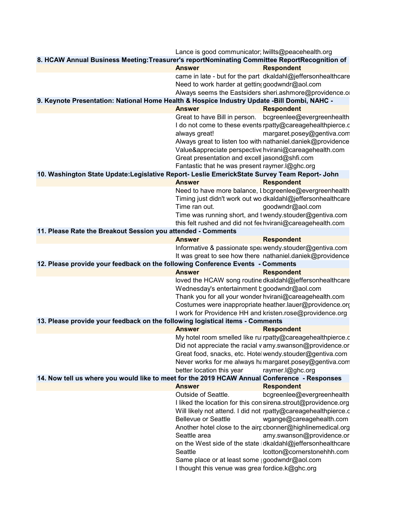|                                                                                               | Lance is good communicator; lwillts@peacehealth.org |                                                                |
|-----------------------------------------------------------------------------------------------|-----------------------------------------------------|----------------------------------------------------------------|
| 8. HCAW Annual Business Meeting: Treasurer's reportNominating Committee ReportRecognition of  |                                                     |                                                                |
|                                                                                               | <b>Answer</b>                                       | <b>Respondent</b>                                              |
|                                                                                               |                                                     | came in late - but for the part dkaldahl@jeffersonhealthcare   |
|                                                                                               | Need to work harder at getting goodwndr@aol.com     |                                                                |
|                                                                                               |                                                     | Always seems the Eastsiders sheri.ashmore@providence.o         |
| 9. Keynote Presentation: National Home Health & Hospice Industry Update -Bill Dombi, NAHC -   |                                                     |                                                                |
|                                                                                               | <b>Answer</b>                                       | <b>Respondent</b>                                              |
|                                                                                               |                                                     | Great to have Bill in person. bcgreenlee@evergreenhealth       |
|                                                                                               |                                                     | I do not come to these events rpatty@careagehealthpierce.c     |
|                                                                                               | always great!                                       | margaret.posey@gentiva.com                                     |
|                                                                                               |                                                     | Always great to listen too with nathaniel.daniek@providence    |
|                                                                                               |                                                     | Value&appreciate perspective hvirani@careagehealth.com         |
|                                                                                               | Great presentation and excell jasond@shfi.com       |                                                                |
|                                                                                               | Fantastic that he was present raymer. l@ghc.org     |                                                                |
| 10. Washington State Update: Legislative Report- Leslie EmerickState Survey Team Report- John |                                                     |                                                                |
|                                                                                               | <b>Answer</b>                                       | <b>Respondent</b>                                              |
|                                                                                               |                                                     | Need to have more balance, I bcgreenlee@evergreenhealth        |
|                                                                                               |                                                     | Timing just didn't work out wo dkaldahl@jeffersonhealthcare    |
|                                                                                               | Time ran out.                                       |                                                                |
|                                                                                               |                                                     | goodwndr@aol.com                                               |
|                                                                                               |                                                     | Time was running short, and twendy.stouder@gentiva.com         |
|                                                                                               |                                                     | this felt rushed and did not fee hvirani@careagehealth.com     |
| 11. Please Rate the Breakout Session you attended - Comments                                  |                                                     |                                                                |
|                                                                                               | <b>Answer</b>                                       | <b>Respondent</b>                                              |
|                                                                                               |                                                     | Informative & passionate spe: wendy.stouder@gentiva.com        |
|                                                                                               |                                                     | It was great to see how there nathaniel.daniek@providence      |
| 12. Please provide your feedback on the following Conference Events - Comments                |                                                     |                                                                |
|                                                                                               | <b>Answer</b>                                       | <b>Respondent</b>                                              |
|                                                                                               |                                                     | loved the HCAW song routine dkaldahl@jeffersonhealthcare       |
|                                                                                               | Wednesday's entertainment b goodwndr@aol.com        |                                                                |
|                                                                                               |                                                     | Thank you for all your wonder hvirani@careagehealth.com        |
|                                                                                               |                                                     | Costumes were inappropriate heather.lauer@providence.org       |
|                                                                                               |                                                     | I work for Providence HH and kristen.rose@providence.org       |
| 13. Please provide your feedback on the following logistical items - Comments                 |                                                     |                                                                |
|                                                                                               | <b>Answer</b>                                       | <b>Respondent</b>                                              |
|                                                                                               |                                                     | My hotel room smelled like rul rpatty@careagehealthpierce.c    |
|                                                                                               |                                                     | Did not appreciate the racial v amy swanson@providence.or      |
|                                                                                               |                                                     | Great food, snacks, etc. Hotel wendy.stouder@gentiva.com       |
|                                                                                               |                                                     | Never works for me always hamargaret.posey@gentiva.com         |
|                                                                                               | better location this year                           | raymer.l@ghc.org                                               |
| 14. Now tell us where you would like to meet for the 2019 HCAW Annual Conference - Responses  |                                                     |                                                                |
|                                                                                               | <b>Answer</b>                                       | <b>Respondent</b>                                              |
|                                                                                               | Outside of Seattle.                                 | bcgreenlee@evergreenhealth                                     |
|                                                                                               |                                                     | I liked the location for this con sirena.strout@providence.org |
|                                                                                               |                                                     | Will likely not attend. I did not rpatty@careagehealthpierce.c |
|                                                                                               | <b>Bellevue or Seattle</b>                          | wgange@careagehealth.com                                       |
|                                                                                               |                                                     | Another hotel close to the airc cbonner@highlinemedical.org    |
|                                                                                               | Seattle area                                        | amy.swanson@providence.or                                      |
|                                                                                               |                                                     | on the West side of the state idkaldahl@jeffersonhealthcare    |
|                                                                                               | Seattle                                             | lcotton@cornerstonehhh.com                                     |
|                                                                                               | Same place or at least some goodwndr@aol.com        |                                                                |
|                                                                                               | I thought this venue was grea fordice.k@ghc.org     |                                                                |
|                                                                                               |                                                     |                                                                |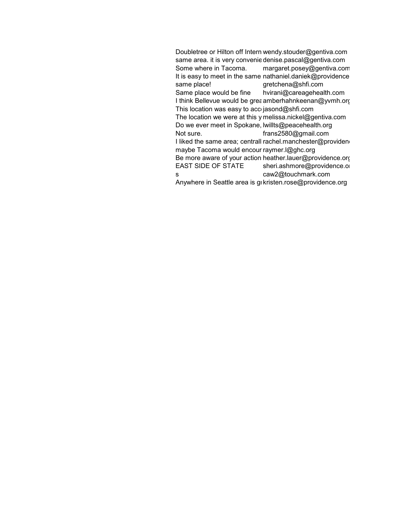Doubletree or Hilton off Intern wendy.stouder@gentiva.com same area. it is very convenie denise.pascal@gentiva.com<br>Some where in Tacoma. margaret.posey@gentiva.com margaret.posey@gentiva.com It is easy to meet in the same nathaniel.daniek@providence same place!<br>gretchena@shfi.com gretchena@shfi.com Same place would be fine hvirani@careagehealth.com I think Bellevue would be grea amberhahnkeenan@yvmh.org This location was easy to acc jasond@shfi.com The location we were at this y melissa.nickel@gentiva.com Do we ever meet in Spokane, lwillts@peacehealth.org Not sure. **https://education.** frans2580@gmail.com I liked the same area; centrall rachel.manchester@providen maybe Tacoma would encour raymer.l@ghc.org Be more aware of your action heather.lauer@providence.org EAST SIDE OF STATE sheri.ashmore@providence.or s caw2@touchmark.com Anywhere in Seattle area is grkristen.rose@providence.org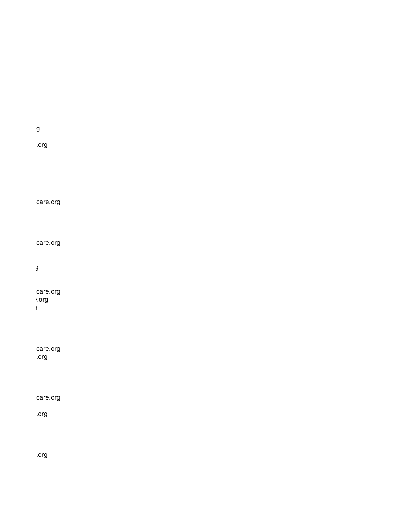care.org

.org

care.org

g

care.org e.org  $\mathbf{I}$ 

care.org

care.org

.org

rg

.org

.org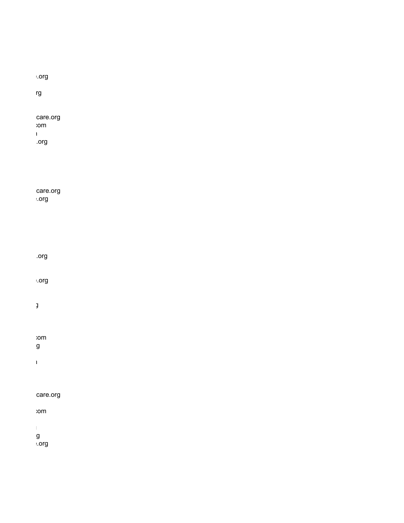| $.$ org                                           |  |  |  |
|---------------------------------------------------|--|--|--|
| $rg$                                              |  |  |  |
| care.org<br>$: \neg \neg$<br>$\mathbf{1}$<br>.org |  |  |  |
| care.org<br>$:$ org                               |  |  |  |
| .org                                              |  |  |  |
| $:$ org                                           |  |  |  |
| $\mathbf{j}$                                      |  |  |  |
| $: \neg \neg$<br>g<br>$\mathbf l$                 |  |  |  |
| care.org                                          |  |  |  |
| $: \neg \neg$                                     |  |  |  |
| $\parallel$<br>g<br>⊧.org                         |  |  |  |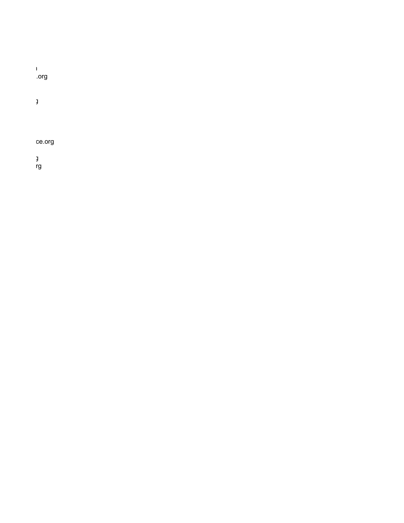m .org g

ce.org

g rg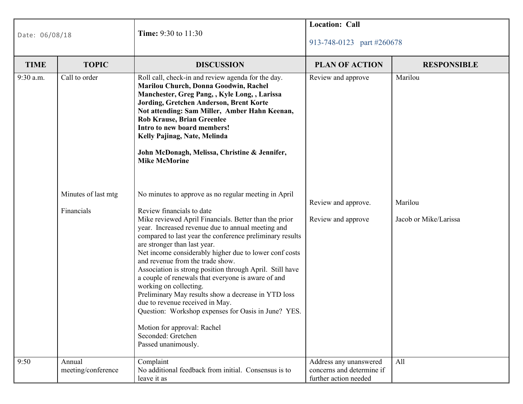| Date: 06/08/18      |                                                                                                                                                                                                                                                                                                                                                                                                                                        | Time: 9:30 to 11:30                                                                                                                                                                                                                                                                                                                                                                                                                                                                                                                                                                                                                                                                                        | <b>Location: Call</b><br>913-748-0123 part #260678                           |                       |  |
|---------------------|----------------------------------------------------------------------------------------------------------------------------------------------------------------------------------------------------------------------------------------------------------------------------------------------------------------------------------------------------------------------------------------------------------------------------------------|------------------------------------------------------------------------------------------------------------------------------------------------------------------------------------------------------------------------------------------------------------------------------------------------------------------------------------------------------------------------------------------------------------------------------------------------------------------------------------------------------------------------------------------------------------------------------------------------------------------------------------------------------------------------------------------------------------|------------------------------------------------------------------------------|-----------------------|--|
| <b>TIME</b>         | <b>TOPIC</b>                                                                                                                                                                                                                                                                                                                                                                                                                           | <b>DISCUSSION</b>                                                                                                                                                                                                                                                                                                                                                                                                                                                                                                                                                                                                                                                                                          | <b>PLAN OF ACTION</b>                                                        | <b>RESPONSIBLE</b>    |  |
| 9:30 a.m.           | Call to order<br>Roll call, check-in and review agenda for the day.<br>Marilou Church, Donna Goodwin, Rachel<br>Manchester, Greg Pang, , Kyle Long, , Larissa<br>Jording, Gretchen Anderson, Brent Korte<br>Not attending: Sam Miller, Amber Hahn Keenan,<br><b>Rob Krause, Brian Greenlee</b><br>Intro to new board members!<br>Kelly Pajinag, Nate, Melinda<br>John McDonagh, Melissa, Christine & Jennifer,<br><b>Mike McMorine</b> |                                                                                                                                                                                                                                                                                                                                                                                                                                                                                                                                                                                                                                                                                                            | Review and approve                                                           | Marilou               |  |
| Minutes of last mtg |                                                                                                                                                                                                                                                                                                                                                                                                                                        | No minutes to approve as no regular meeting in April                                                                                                                                                                                                                                                                                                                                                                                                                                                                                                                                                                                                                                                       | Review and approve.                                                          | Marilou               |  |
|                     | Financials                                                                                                                                                                                                                                                                                                                                                                                                                             | Review financials to date<br>Mike reviewed April Financials. Better than the prior<br>year. Increased revenue due to annual meeting and<br>compared to last year the conference preliminary results<br>are stronger than last year.<br>Net income considerably higher due to lower conf costs<br>and revenue from the trade show.<br>Association is strong position through April. Still have<br>a couple of renewals that everyone is aware of and<br>working on collecting.<br>Preliminary May results show a decrease in YTD loss<br>due to revenue received in May.<br>Question: Workshop expenses for Oasis in June? YES.<br>Motion for approval: Rachel<br>Seconded: Gretchen<br>Passed unanimously. | Review and approve                                                           | Jacob or Mike/Larissa |  |
| 9:50                | Annual<br>meeting/conference                                                                                                                                                                                                                                                                                                                                                                                                           | Complaint<br>No additional feedback from initial. Consensus is to<br>leave it as                                                                                                                                                                                                                                                                                                                                                                                                                                                                                                                                                                                                                           | Address any unanswered<br>concerns and determine if<br>further action needed | All                   |  |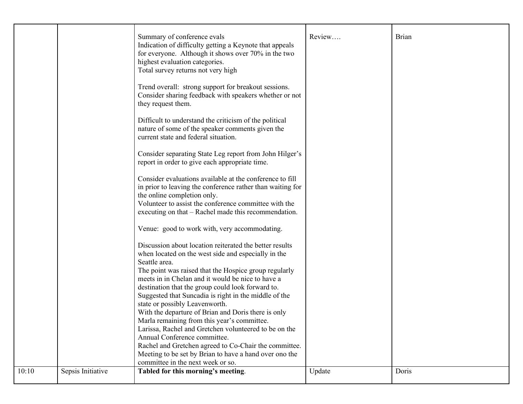|       |                   | Summary of conference evals<br>Indication of difficulty getting a Keynote that appeals<br>for everyone. Although it shows over 70% in the two<br>highest evaluation categories.<br>Total survey returns not very high | Review | Brian |
|-------|-------------------|-----------------------------------------------------------------------------------------------------------------------------------------------------------------------------------------------------------------------|--------|-------|
|       |                   | Trend overall: strong support for breakout sessions.<br>Consider sharing feedback with speakers whether or not<br>they request them.                                                                                  |        |       |
|       |                   | Difficult to understand the criticism of the political<br>nature of some of the speaker comments given the<br>current state and federal situation.                                                                    |        |       |
|       |                   | Consider separating State Leg report from John Hilger's<br>report in order to give each appropriate time.                                                                                                             |        |       |
|       |                   | Consider evaluations available at the conference to fill<br>in prior to leaving the conference rather than waiting for<br>the online completion only.                                                                 |        |       |
|       |                   | Volunteer to assist the conference committee with the<br>executing on that – Rachel made this recommendation.                                                                                                         |        |       |
|       |                   | Venue: good to work with, very accommodating.                                                                                                                                                                         |        |       |
|       |                   | Discussion about location reiterated the better results<br>when located on the west side and especially in the                                                                                                        |        |       |
|       |                   | Seattle area.<br>The point was raised that the Hospice group regularly<br>meets in in Chelan and it would be nice to have a                                                                                           |        |       |
|       |                   | destination that the group could look forward to.<br>Suggested that Suncadia is right in the middle of the                                                                                                            |        |       |
|       |                   | state or possibly Leavenworth.<br>With the departure of Brian and Doris there is only                                                                                                                                 |        |       |
|       |                   | Marla remaining from this year's committee.<br>Larissa, Rachel and Gretchen volunteered to be on the                                                                                                                  |        |       |
|       |                   | Annual Conference committee.<br>Rachel and Gretchen agreed to Co-Chair the committee.                                                                                                                                 |        |       |
|       |                   | Meeting to be set by Brian to have a hand over ono the<br>committee in the next week or so.                                                                                                                           |        |       |
| 10:10 | Sepsis Initiative | Tabled for this morning's meeting.                                                                                                                                                                                    | Update | Doris |
|       |                   |                                                                                                                                                                                                                       |        |       |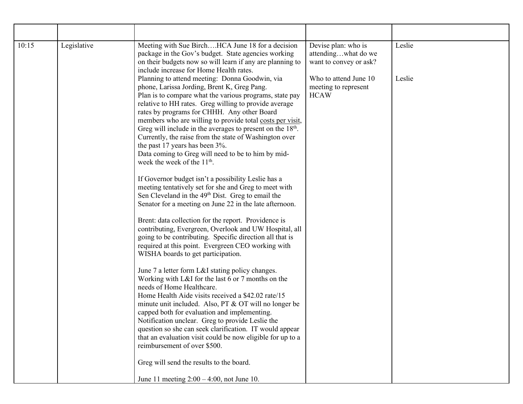| 10:15 | Legislative | Meeting with Sue BirchHCA June 18 for a decision<br>package in the Gov's budget. State agencies working<br>on their budgets now so will learn if any are planning to<br>include increase for Home Health rates.                                                                                                                                                                                                                                                                                                                                                                            | Devise plan: who is<br>attendingwhat do we<br>want to convey or ask? | Leslie |
|-------|-------------|--------------------------------------------------------------------------------------------------------------------------------------------------------------------------------------------------------------------------------------------------------------------------------------------------------------------------------------------------------------------------------------------------------------------------------------------------------------------------------------------------------------------------------------------------------------------------------------------|----------------------------------------------------------------------|--------|
|       |             | Planning to attend meeting: Donna Goodwin, via<br>phone, Larissa Jording, Brent K, Greg Pang.<br>Plan is to compare what the various programs, state pay<br>relative to HH rates. Greg willing to provide average<br>rates by programs for CHHH. Any other Board<br>members who are willing to provide total costs per visit,<br>Greg will include in the averages to present on the $18th$ .<br>Currently, the raise from the state of Washington over<br>the past 17 years has been 3%.<br>Data coming to Greg will need to be to him by mid-<br>week the week of the 11 <sup>th</sup> . | Who to attend June 10<br>meeting to represent<br><b>HCAW</b>         | Leslie |
|       |             | If Governor budget isn't a possibility Leslie has a<br>meeting tentatively set for she and Greg to meet with<br>Sen Cleveland in the 49 <sup>th</sup> Dist. Greg to email the<br>Senator for a meeting on June 22 in the late afternoon.                                                                                                                                                                                                                                                                                                                                                   |                                                                      |        |
|       |             | Brent: data collection for the report. Providence is<br>contributing, Evergreen, Overlook and UW Hospital, all<br>going to be contributing. Specific direction all that is<br>required at this point. Evergreen CEO working with<br>WISHA boards to get participation.                                                                                                                                                                                                                                                                                                                     |                                                                      |        |
|       |             | June 7 a letter form L&I stating policy changes.<br>Working with L&I for the last 6 or 7 months on the<br>needs of Home Healthcare.<br>Home Health Aide visits received a \$42.02 rate/15<br>minute unit included. Also, PT & OT will no longer be<br>capped both for evaluation and implementing.<br>Notification unclear. Greg to provide Leslie the<br>question so she can seek clarification. IT would appear<br>that an evaluation visit could be now eligible for up to a<br>reimbursement of over \$500.                                                                            |                                                                      |        |
|       |             | Greg will send the results to the board.                                                                                                                                                                                                                                                                                                                                                                                                                                                                                                                                                   |                                                                      |        |
|       |             | June 11 meeting $2:00 - 4:00$ , not June 10.                                                                                                                                                                                                                                                                                                                                                                                                                                                                                                                                               |                                                                      |        |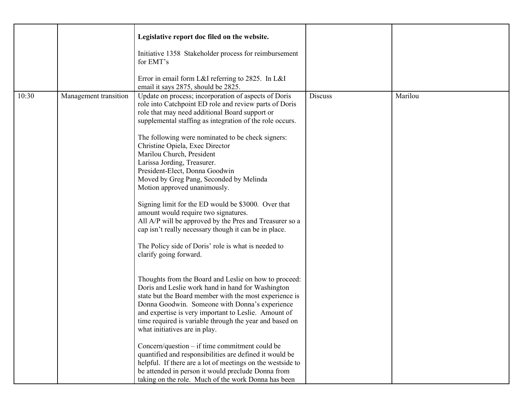|       |                       | Legislative report doc filed on the website.<br>Initiative 1358 Stakeholder process for reimbursement<br>for EMT's<br>Error in email form L&I referring to 2825. In L&I<br>email it says 2875, should be 2825.                                                                                                                                                                                                                                                                                                                                                                                                                                                                                                                                                                                                                                                                                                                                                                                                                                                                                                                                                                                                                                                                                                                                                                                                                                                            |                |         |
|-------|-----------------------|---------------------------------------------------------------------------------------------------------------------------------------------------------------------------------------------------------------------------------------------------------------------------------------------------------------------------------------------------------------------------------------------------------------------------------------------------------------------------------------------------------------------------------------------------------------------------------------------------------------------------------------------------------------------------------------------------------------------------------------------------------------------------------------------------------------------------------------------------------------------------------------------------------------------------------------------------------------------------------------------------------------------------------------------------------------------------------------------------------------------------------------------------------------------------------------------------------------------------------------------------------------------------------------------------------------------------------------------------------------------------------------------------------------------------------------------------------------------------|----------------|---------|
| 10:30 | Management transition | Update on process; incorporation of aspects of Doris<br>role into Catchpoint ED role and review parts of Doris<br>role that may need additional Board support or<br>supplemental staffing as integration of the role occurs.<br>The following were nominated to be check signers:<br>Christine Opiela, Exec Director<br>Marilou Church, President<br>Larissa Jording, Treasurer.<br>President-Elect, Donna Goodwin<br>Moved by Greg Pang, Seconded by Melinda<br>Motion approved unanimously.<br>Signing limit for the ED would be \$3000. Over that<br>amount would require two signatures.<br>All A/P will be approved by the Pres and Treasurer so a<br>cap isn't really necessary though it can be in place.<br>The Policy side of Doris' role is what is needed to<br>clarify going forward.<br>Thoughts from the Board and Leslie on how to proceed:<br>Doris and Leslie work hand in hand for Washington<br>state but the Board member with the most experience is<br>Donna Goodwin. Someone with Donna's experience<br>and expertise is very important to Leslie. Amount of<br>time required is variable through the year and based on<br>what initiatives are in play.<br>Concern/question $-$ if time commitment could be<br>quantified and responsibilities are defined it would be<br>helpful. If there are a lot of meetings on the westside to<br>be attended in person it would preclude Donna from<br>taking on the role. Much of the work Donna has been | <b>Discuss</b> | Marilou |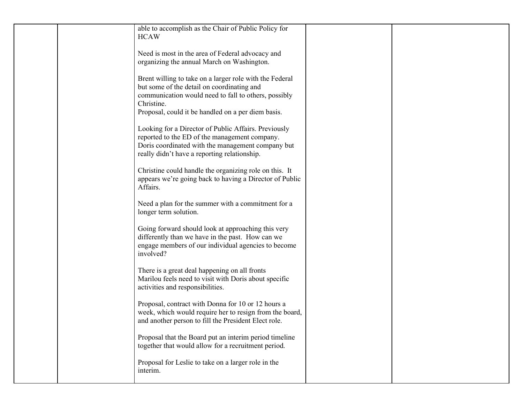| able to accomplish as the Chair of Public Policy for<br><b>HCAW</b>                                                                                                                                                               |  |
|-----------------------------------------------------------------------------------------------------------------------------------------------------------------------------------------------------------------------------------|--|
| Need is most in the area of Federal advocacy and<br>organizing the annual March on Washington.                                                                                                                                    |  |
| Brent willing to take on a larger role with the Federal<br>but some of the detail on coordinating and<br>communication would need to fall to others, possibly<br>Christine.<br>Proposal, could it be handled on a per diem basis. |  |
| Looking for a Director of Public Affairs. Previously<br>reported to the ED of the management company.<br>Doris coordinated with the management company but<br>really didn't have a reporting relationship.                        |  |
| Christine could handle the organizing role on this. It<br>appears we're going back to having a Director of Public<br>Affairs.                                                                                                     |  |
| Need a plan for the summer with a commitment for a<br>longer term solution.                                                                                                                                                       |  |
| Going forward should look at approaching this very<br>differently than we have in the past. How can we<br>engage members of our individual agencies to become<br>involved?                                                        |  |
| There is a great deal happening on all fronts<br>Marilou feels need to visit with Doris about specific<br>activities and responsibilities.                                                                                        |  |
| Proposal, contract with Donna for 10 or 12 hours a<br>week, which would require her to resign from the board,<br>and another person to fill the President Elect role.                                                             |  |
| Proposal that the Board put an interim period timeline<br>together that would allow for a recruitment period.                                                                                                                     |  |
| Proposal for Leslie to take on a larger role in the<br>interim.                                                                                                                                                                   |  |